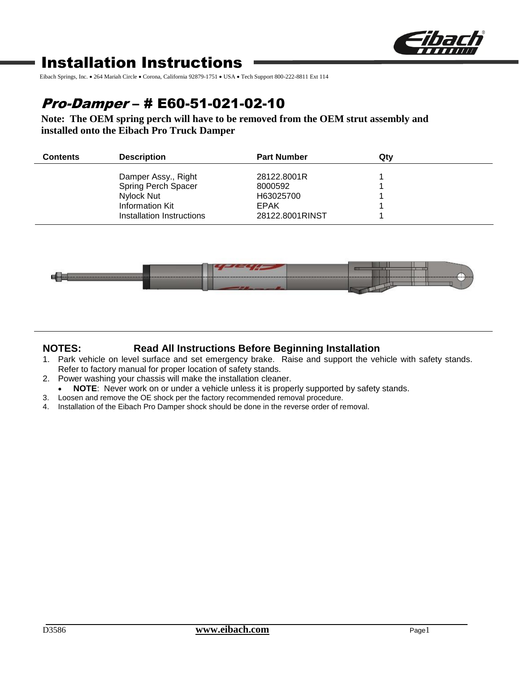

# Installation Instructions

Eibach Springs, Inc. • 264 Mariah Circle • Corona, California 92879-1751 • USA • Tech Support 800-222-8811 Ext 114

# Pro-Damper – # E60-51-021-02-10

**Note: The OEM spring perch will have to be removed from the OEM strut assembly and installed onto the Eibach Pro Truck Damper**

| <b>Contents</b> | <b>Description</b>                                                                                       | <b>Part Number</b>                                                    | Qtv |
|-----------------|----------------------------------------------------------------------------------------------------------|-----------------------------------------------------------------------|-----|
|                 | Damper Assy., Right<br>Spring Perch Spacer<br>Nylock Nut<br>Information Kit<br>Installation Instructions | 28122,8001R<br>8000592<br>H63025700<br><b>EPAK</b><br>28122.8001RINST |     |



### **NOTES: Read All Instructions Before Beginning Installation**

- 1. Park vehicle on level surface and set emergency brake. Raise and support the vehicle with safety stands. Refer to factory manual for proper location of safety stands.
- 2. Power washing your chassis will make the installation cleaner.
- **NOTE**: Never work on or under a vehicle unless it is properly supported by safety stands.
- 3. Loosen and remove the OE shock per the factory recommended removal procedure.
- 4. Installation of the Eibach Pro Damper shock should be done in the reverse order of removal.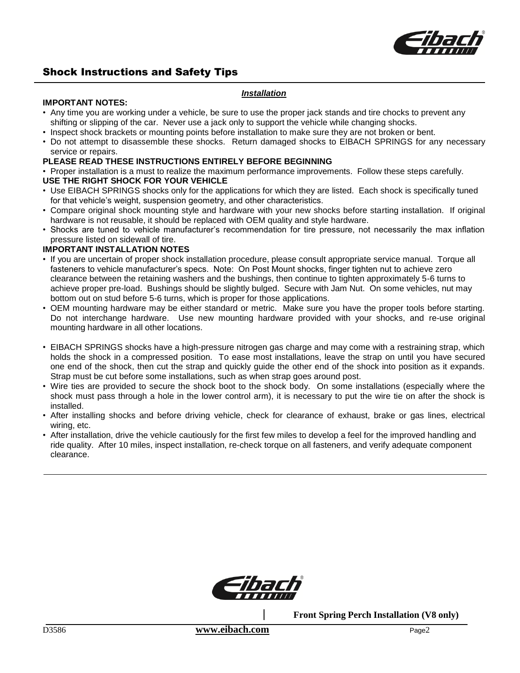

# Shock Instructions and Safety Tips

#### *Installation*

#### **IMPORTANT NOTES:**

- Any time you are working under a vehicle, be sure to use the proper jack stands and tire chocks to prevent any shifting or slipping of the car. Never use a jack only to support the vehicle while changing shocks.
- Inspect shock brackets or mounting points before installation to make sure they are not broken or bent.
- Do not attempt to disassemble these shocks. Return damaged shocks to EIBACH SPRINGS for any necessary service or repairs.

# **PLEASE READ THESE INSTRUCTIONS ENTIRELY BEFORE BEGINNING**

• Proper installation is a must to realize the maximum performance improvements. Follow these steps carefully.

# **USE THE RIGHT SHOCK FOR YOUR VEHICLE**

- Use EIBACH SPRINGS shocks only for the applications for which they are listed. Each shock is specifically tuned for that vehicle's weight, suspension geometry, and other characteristics.
- Compare original shock mounting style and hardware with your new shocks before starting installation. If original hardware is not reusable, it should be replaced with OEM quality and style hardware.
- Shocks are tuned to vehicle manufacturer's recommendation for tire pressure, not necessarily the max inflation pressure listed on sidewall of tire.

# **IMPORTANT INSTALLATION NOTES**

- If you are uncertain of proper shock installation procedure, please consult appropriate service manual. Torque all fasteners to vehicle manufacturer's specs. Note: On Post Mount shocks, finger tighten nut to achieve zero clearance between the retaining washers and the bushings, then continue to tighten approximately 5-6 turns to achieve proper pre-load. Bushings should be slightly bulged. Secure with Jam Nut. On some vehicles, nut may bottom out on stud before 5-6 turns, which is proper for those applications.
- OEM mounting hardware may be either standard or metric. Make sure you have the proper tools before starting. Do not interchange hardware. Use new mounting hardware provided with your shocks, and re-use original mounting hardware in all other locations.
- EIBACH SPRINGS shocks have a high-pressure nitrogen gas charge and may come with a restraining strap, which holds the shock in a compressed position. To ease most installations, leave the strap on until you have secured one end of the shock, then cut the strap and quickly guide the other end of the shock into position as it expands. Strap must be cut before some installations, such as when strap goes around post.
- Wire ties are provided to secure the shock boot to the shock body. On some installations (especially where the shock must pass through a hole in the lower control arm), it is necessary to put the wire tie on after the shock is installed.
- After installing shocks and before driving vehicle, check for clearance of exhaust, brake or gas lines, electrical wiring, etc.
- After installation, drive the vehicle cautiously for the first few miles to develop a feel for the improved handling and ride quality. After 10 miles, inspect installation, re-check torque on all fasteners, and verify adequate component clearance.



**Front Spring Perch Installation (V8 only)**